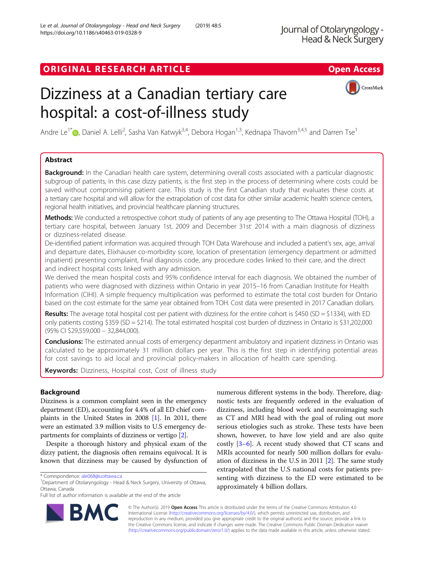# Dizziness at a Canadian tertiary care hospital: a cost-of-illness study



Andre Le<sup>1\*</sup>®, Daniel A. Lelli<sup>2</sup>, Sasha Van Katwyk<sup>3,4</sup>, Debora Hogan<sup>1,3</sup>, Kednapa Thavorn<sup>3,4,5</sup> and Darren Tse<sup>1</sup>

# Abstract

**Background:** In the Canadian health care system, determining overall costs associated with a particular diagnostic subgroup of patients, in this case dizzy patients, is the first step in the process of determining where costs could be saved without compromising patient care. This study is the first Canadian study that evaluates these costs at a tertiary care hospital and will allow for the extrapolation of cost data for other similar academic health science centers, regional health initiatives, and provincial healthcare planning structures.

Methods: We conducted a retrospective cohort study of patients of any age presenting to The Ottawa Hospital (TOH), a tertiary care hospital, between January 1st, 2009 and December 31st<sup>7</sup> 2014 with a main diagnosis of dizziness or dizziness-related disease.

De-identified patient information was acquired through TOH Data Warehouse and included a patient's sex, age, arrival and departure dates, Elixhauser co-morbidity score, location of presentation (emergency department or admitted inpatient) presenting complaint, final diagnosis code, any procedure codes linked to their care, and the direct and indirect hospital costs linked with any admission.

We derived the mean hospital costs and 95% confidence interval for each diagnosis. We obtained the number of patients who were diagnosed with dizziness within Ontario in year 2015–16 from Canadian Institute for Health Information (CIHI). A simple frequency multiplication was performed to estimate the total cost burden for Ontario based on the cost estimate for the same year obtained from TOH. Cost data were presented in 2017 Canadian dollars.

Results: The average total hospital cost per patient with dizziness for the entire cohort is \$450 (SD = \$1334), with ED only patients costing \$359 (SD = \$214). The total estimated hospital cost burden of dizziness in Ontario is \$31,202,000 (95% CI \$29,559,000 – 32,844,000).

Conclusions: The estimated annual costs of emergency department ambulatory and inpatient dizziness in Ontario was calculated to be approximately 31 million dollars per year. This is the first step in identifying potential areas for cost savings to aid local and provincial policy-makers in allocation of health care spending.

Keywords: Dizziness, Hospital cost, Cost of illness study

## Background

Dizziness is a common complaint seen in the emergency department (ED), accounting for 4.4% of all ED chief complaints in the United States in 2008 [\[1](#page-5-0)]. In 2011, there were an estimated 3.9 million visits to U.S emergency departments for complaints of dizziness or vertigo [\[2\]](#page-5-0).

Despite a thorough history and physical exam of the dizzy patient, the diagnosis often remains equivocal. It is known that dizziness may be caused by dysfunction of

R7

Full list of author information is available at the end of the article



© The Author(s). 2019 Open Access This article is distributed under the terms of the Creative Commons Attribution 4.0 International License [\(http://creativecommons.org/licenses/by/4.0/](http://creativecommons.org/licenses/by/4.0/)), which permits unrestricted use, distribution, and reproduction in any medium, provided you give appropriate credit to the original author(s) and the source, provide a link to the Creative Commons license, and indicate if changes were made. The Creative Commons Public Domain Dedication waiver [\(http://creativecommons.org/publicdomain/zero/1.0/](http://creativecommons.org/publicdomain/zero/1.0/)) applies to the data made available in this article, unless otherwise stated.

<sup>\*</sup> Correspondence: [ale068@uottawa.ca](mailto:ale068@uottawa.ca) <sup>1</sup>

Department of Otolaryngology - Head & Neck Surgery, University of Ottawa, Ottawa, Canada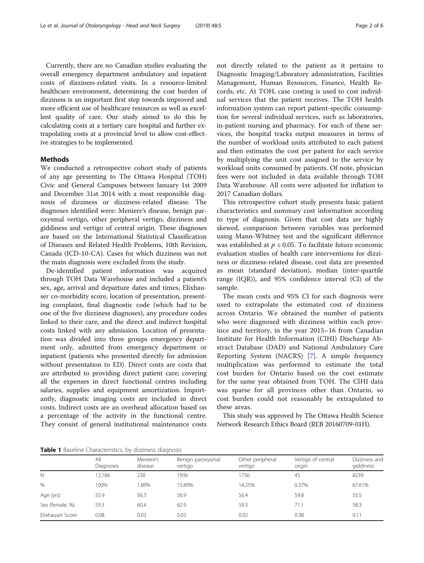<span id="page-1-0"></span>Currently, there are no Canadian studies evaluating the overall emergency department ambulatory and inpatient costs of dizziness-related visits. In a resource-limited healthcare environment, determining the cost burden of dizziness is an important first step towards improved and more efficient use of healthcare resources as well as excellent quality of care. Our study aimed to do this by calculating costs at a tertiary care hospital and further extrapolating costs at a provincial level to allow cost-effective strategies to be implemented.

## Methods

We conducted a retrospective cohort study of patients of any age presenting to The Ottawa Hospital (TOH) Civic and General Campuses between January 1st 2009 and December 31st 2014 with a most responsible diagnosis of dizziness or dizziness-related disease. The diagnoses identified were: Meniere's disease, benign paroxysmal vertigo, other peripheral vertigo, dizziness and giddiness and vertigo of central origin. These diagnoses are based on the International Statistical Classification of Diseases and Related Health Problems, 10th Revision, Canada (ICD-10-CA). Cases for which dizziness was not the main diagnosis were excluded from the study.

De-identified patient information was acquired through TOH Data Warehouse and included a patient's sex, age, arrival and departure dates and times, Elixhauser co-morbidity score, location of presentation, presenting complaint, final diagnostic code (which had to be one of the five dizziness diagnoses), any procedure codes linked to their care, and the direct and indirect hospital costs linked with any admission. Location of presentation was divided into three groups emergency department only, admitted from emergency department or inpatient (patients who presented directly for admission without presentation to ED). Direct costs are costs that are attributed to providing direct patient care; covering all the expenses in direct functional centres including salaries, supplies and equipment amortization. Importantly, diagnostic imaging costs are included in direct costs. Indirect costs are an overhead allocation based on a percentage of the activity in the functional centre. They consist of general institutional maintenance costs not directly related to the patient as it pertains to Diagnostic Imaging/Laboratory administration, Facilities Management, Human Resources, Finance, Health Records, etc. At TOH, case costing is used to cost individual services that the patient receives. The TOH health information system can report patient-specific consumption for several individual services, such as laboratories, in-patient nursing and pharmacy. For each of these services, the hospital tracks output measures in terms of the number of workload units attributed to each patient and then estimates the cost per patient for each service by multiplying the unit cost assigned to the service by workload units consumed by patients. Of note, physician fees were not included in data available through TOH Data Warehouse. All costs were adjusted for inflation to 2017 Canadian dollars.

This retrospective cohort study presents basic patient characteristics and summary cost information according to type of diagnosis. Given that cost data are highly skewed, comparison between variables was performed using Mann-Whitney test and the significant difference was established at  $p \leq 0.05$ . To facilitate future economic evaluation studies of health care interventions for dizziness or dizziness-related disease, cost data are presented as mean (standard deviation), median (inter-quartile range (IQR)), and 95% confidence interval (CI) of the sample.

The mean costs and 95% CI for each diagnosis were used to extrapolate the estimated cost of dizziness across Ontario. We obtained the number of patients who were diagnosed with dizziness within each province and territory, in the year 2015–16 from Canadian Institute for Health Information (CIHI) Discharge Abstract Database (DAD) and National Ambulatory Care Reporting System (NACRS) [\[7](#page-5-0)]. A simple frequency multiplication was performed to estimate the total cost burden for Ontario based on the cost estimate for the same year obtained from TOH. The CIHI data was sparse for all provinces other than Ontario, so cost burden could not reasonably be extrapolated to these areas.

This study was approved by The Ottawa Health Science Network Research Ethics Board (REB 20160709-01H).

Table 1 Baseline Characteristics, by dizziness diagnosis

|                  | All<br>Diagnoses | Meniere's<br>disease | Benign paroxysmal<br>vertigo | Other peripheral<br>vertigo | Vertigo of central<br>origin | Dizziness and<br>giddiness |
|------------------|------------------|----------------------|------------------------------|-----------------------------|------------------------------|----------------------------|
| N                | 12.186           | 230                  | 1936                         | 1736                        | 45                           | 8239                       |
| %                | 100%             | .89%                 | 15.89%                       | 14.25%                      | 0.37%                        | 67.61%                     |
| Age (yrs)        | 55.9             | 56.3                 | 56.9                         | 56.4                        | 59.8                         | 55.5                       |
| Sex (female, %)  | 59.3             | 60.4                 | 62.9                         | 59.3                        | 71.1                         | 58.3                       |
| Elixhauser Score | 0.08             | 0.03                 | 0.03                         | 0.02                        | 0.38                         | 0.11                       |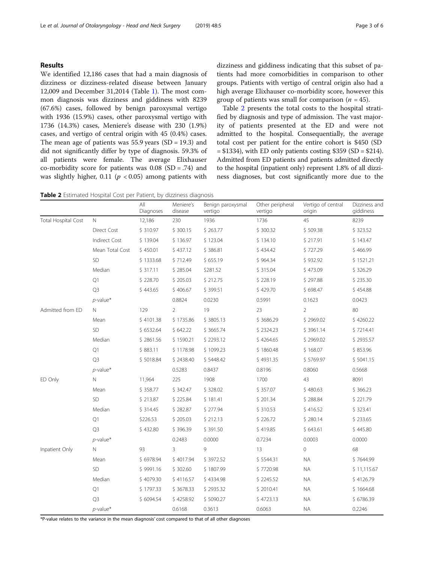## Results

We identified 12,186 cases that had a main diagnosis of dizziness or dizziness-related disease between January 12,009 and December 31,2014 (Table [1\)](#page-1-0). The most common diagnosis was dizziness and giddiness with 8239 (67.6%) cases, followed by benign paroxysmal vertigo with 1936 (15.9%) cases, other paroxysmal vertigo with 1736 (14.3%) cases, Meniere's disease with 230 (1.9%) cases, and vertigo of central origin with 45 (0.4%) cases. The mean age of patients was  $55.9$  years  $(SD = 19.3)$  and did not significantly differ by type of diagnosis. 59.3% of all patients were female. The average Elixhauser co-morbidity score for patients was  $0.08$  (SD = .74) and was slightly higher, 0.11 ( $p < 0.05$ ) among patients with dizziness and giddiness indicating that this subset of patients had more comorbidities in comparison to other groups. Patients with vertigo of central origin also had a high average Elixhauser co-morbidity score, however this group of patients was small for comparison  $(n = 45)$ .

Table 2 presents the total costs to the hospital stratified by diagnosis and type of admission. The vast majority of patients presented at the ED and were not admitted to the hospital. Consequentially, the average total cost per patient for the entire cohort is \$450 (SD = \$1334), with ED only patients costing \$359 (SD = \$214). Admitted from ED patients and patients admitted directly to the hospital (inpatient only) represent 1.8% of all dizziness diagnoses, but cost significantly more due to the

|  | Table 2 Estimated Hospital Cost per Patient, by dizziness diagnosis |  |  |  |  |  |
|--|---------------------------------------------------------------------|--|--|--|--|--|
|--|---------------------------------------------------------------------|--|--|--|--|--|

| 45<br>N.<br>230<br>1936<br>1736<br>8239<br><b>Total Hospital Cost</b><br>12,186<br>\$263.77<br>\$509.38<br><b>Direct Cost</b><br>\$310.97<br>\$300.15<br>\$300.32<br>\$323.52<br><b>Indirect Cost</b><br>\$139.04<br>\$217.91<br>\$136.97<br>\$123.04<br>\$134.10<br>Mean Total Cost<br>\$450.01<br>\$437.12<br>\$386.81<br>\$434.42<br>\$727.29<br><b>SD</b><br>\$1333.68<br>\$712.49<br>\$655.19<br>\$964.34<br>\$932.92<br>Median<br>\$317.11<br>\$285.04<br>\$281.52<br>\$315.04<br>\$473.09<br>\$326.29<br>Q1<br>\$228.70<br>\$205.03<br>\$212.75<br>\$228.19<br>\$297.88<br>\$235.30<br>Q3<br>\$443.65<br>\$406.67<br>\$399.51<br>\$429.70<br>\$698.47<br>\$454.88<br>0.8824<br>0.0423<br>$p$ -value*<br>0.0230<br>0.5991<br>0.1623<br>Admitted from ED<br>19<br>N.<br>129<br>$\overline{2}$<br>23<br>$\overline{2}$<br>80<br>\$4101.38<br>\$1735.86<br>\$3805.13<br>\$3686.29<br>\$2969.02<br>Mean<br>SD<br>\$6532.64<br>\$642.22<br>\$3665.74<br>\$2324.23<br>\$3961.14<br>Median<br>\$2861.56<br>\$1590.21<br>\$2293.12<br>\$4264.65<br>\$2969.02<br>${\cal Q}1$<br>\$883.11<br>\$1178.98<br>\$1099.23<br>\$1860.48<br>\$168.07<br>Q <sub>3</sub><br>\$5018.84<br>\$4931.35<br>\$2438.40<br>\$5448.42<br>\$5769.97<br>$p$ -value*<br>0.5283<br>0.8437<br>0.8196<br>0.8060<br>0.5668<br>$\mathbb N$<br>225<br>1908<br>1700<br>43<br>8091<br>ED Only<br>11,964<br>\$342.47<br>\$328.02<br>\$480.63<br>\$366.23<br>Mean<br>\$358.77<br>\$357.07<br>SD.<br>\$181.41<br>\$213.87<br>\$225.84<br>\$201.34<br>\$288.84<br>\$221.79<br>Median<br>\$314.45<br>\$282.87<br>\$277.94<br>\$310.53<br>\$416.52<br>\$323.41<br>${\cal Q}1$<br>\$226.53<br>\$205.03<br>\$212.13<br>\$226.72<br>\$280.14<br>\$233.65<br>Q <sub>3</sub><br>\$432.80<br>\$396.39<br>\$391.50<br>\$419.85<br>\$643.61<br>\$445.80<br>$p$ -value*<br>0.2483<br>0.0000<br>0.7234<br>0.0003<br>0.0000<br>13<br>68<br>N.<br>93<br>3<br>9<br>$\overline{0}$<br>Inpatient Only<br>\$6978.94<br><b>NA</b><br>Mean<br>\$4017.94<br>\$3972.52<br>\$5544.31<br>SD<br>\$9991.16<br>\$302.60<br>\$1807.99<br>\$7720.98<br><b>NA</b><br>Median<br><b>NA</b><br>\$4079.30<br>\$4116.57<br>\$4334.98<br>\$2245.52 |  | All<br>Diagnoses | Meniere's<br>disease | Benign paroxysmal<br>vertigo | Other peripheral<br>vertigo | Vertigo of central<br>origin | Dizziness and<br>giddiness |
|--------------------------------------------------------------------------------------------------------------------------------------------------------------------------------------------------------------------------------------------------------------------------------------------------------------------------------------------------------------------------------------------------------------------------------------------------------------------------------------------------------------------------------------------------------------------------------------------------------------------------------------------------------------------------------------------------------------------------------------------------------------------------------------------------------------------------------------------------------------------------------------------------------------------------------------------------------------------------------------------------------------------------------------------------------------------------------------------------------------------------------------------------------------------------------------------------------------------------------------------------------------------------------------------------------------------------------------------------------------------------------------------------------------------------------------------------------------------------------------------------------------------------------------------------------------------------------------------------------------------------------------------------------------------------------------------------------------------------------------------------------------------------------------------------------------------------------------------------------------------------------------------------------------------------------------------------------------------------------------------------------------------------------------------------------------------------------------------------------------------------------------------------------------------------|--|------------------|----------------------|------------------------------|-----------------------------|------------------------------|----------------------------|
|                                                                                                                                                                                                                                                                                                                                                                                                                                                                                                                                                                                                                                                                                                                                                                                                                                                                                                                                                                                                                                                                                                                                                                                                                                                                                                                                                                                                                                                                                                                                                                                                                                                                                                                                                                                                                                                                                                                                                                                                                                                                                                                                                                          |  |                  |                      |                              |                             |                              |                            |
|                                                                                                                                                                                                                                                                                                                                                                                                                                                                                                                                                                                                                                                                                                                                                                                                                                                                                                                                                                                                                                                                                                                                                                                                                                                                                                                                                                                                                                                                                                                                                                                                                                                                                                                                                                                                                                                                                                                                                                                                                                                                                                                                                                          |  |                  |                      |                              |                             |                              |                            |
|                                                                                                                                                                                                                                                                                                                                                                                                                                                                                                                                                                                                                                                                                                                                                                                                                                                                                                                                                                                                                                                                                                                                                                                                                                                                                                                                                                                                                                                                                                                                                                                                                                                                                                                                                                                                                                                                                                                                                                                                                                                                                                                                                                          |  |                  |                      |                              |                             |                              | \$143.47                   |
|                                                                                                                                                                                                                                                                                                                                                                                                                                                                                                                                                                                                                                                                                                                                                                                                                                                                                                                                                                                                                                                                                                                                                                                                                                                                                                                                                                                                                                                                                                                                                                                                                                                                                                                                                                                                                                                                                                                                                                                                                                                                                                                                                                          |  |                  |                      |                              |                             |                              | \$466.99                   |
|                                                                                                                                                                                                                                                                                                                                                                                                                                                                                                                                                                                                                                                                                                                                                                                                                                                                                                                                                                                                                                                                                                                                                                                                                                                                                                                                                                                                                                                                                                                                                                                                                                                                                                                                                                                                                                                                                                                                                                                                                                                                                                                                                                          |  |                  |                      |                              |                             |                              | \$1521.21                  |
|                                                                                                                                                                                                                                                                                                                                                                                                                                                                                                                                                                                                                                                                                                                                                                                                                                                                                                                                                                                                                                                                                                                                                                                                                                                                                                                                                                                                                                                                                                                                                                                                                                                                                                                                                                                                                                                                                                                                                                                                                                                                                                                                                                          |  |                  |                      |                              |                             |                              |                            |
|                                                                                                                                                                                                                                                                                                                                                                                                                                                                                                                                                                                                                                                                                                                                                                                                                                                                                                                                                                                                                                                                                                                                                                                                                                                                                                                                                                                                                                                                                                                                                                                                                                                                                                                                                                                                                                                                                                                                                                                                                                                                                                                                                                          |  |                  |                      |                              |                             |                              |                            |
|                                                                                                                                                                                                                                                                                                                                                                                                                                                                                                                                                                                                                                                                                                                                                                                                                                                                                                                                                                                                                                                                                                                                                                                                                                                                                                                                                                                                                                                                                                                                                                                                                                                                                                                                                                                                                                                                                                                                                                                                                                                                                                                                                                          |  |                  |                      |                              |                             |                              |                            |
|                                                                                                                                                                                                                                                                                                                                                                                                                                                                                                                                                                                                                                                                                                                                                                                                                                                                                                                                                                                                                                                                                                                                                                                                                                                                                                                                                                                                                                                                                                                                                                                                                                                                                                                                                                                                                                                                                                                                                                                                                                                                                                                                                                          |  |                  |                      |                              |                             |                              |                            |
|                                                                                                                                                                                                                                                                                                                                                                                                                                                                                                                                                                                                                                                                                                                                                                                                                                                                                                                                                                                                                                                                                                                                                                                                                                                                                                                                                                                                                                                                                                                                                                                                                                                                                                                                                                                                                                                                                                                                                                                                                                                                                                                                                                          |  |                  |                      |                              |                             |                              |                            |
|                                                                                                                                                                                                                                                                                                                                                                                                                                                                                                                                                                                                                                                                                                                                                                                                                                                                                                                                                                                                                                                                                                                                                                                                                                                                                                                                                                                                                                                                                                                                                                                                                                                                                                                                                                                                                                                                                                                                                                                                                                                                                                                                                                          |  |                  |                      |                              |                             |                              | \$4260.22                  |
|                                                                                                                                                                                                                                                                                                                                                                                                                                                                                                                                                                                                                                                                                                                                                                                                                                                                                                                                                                                                                                                                                                                                                                                                                                                                                                                                                                                                                                                                                                                                                                                                                                                                                                                                                                                                                                                                                                                                                                                                                                                                                                                                                                          |  |                  |                      |                              |                             |                              | \$7214.41                  |
|                                                                                                                                                                                                                                                                                                                                                                                                                                                                                                                                                                                                                                                                                                                                                                                                                                                                                                                                                                                                                                                                                                                                                                                                                                                                                                                                                                                                                                                                                                                                                                                                                                                                                                                                                                                                                                                                                                                                                                                                                                                                                                                                                                          |  |                  |                      |                              |                             |                              | \$2935.57                  |
|                                                                                                                                                                                                                                                                                                                                                                                                                                                                                                                                                                                                                                                                                                                                                                                                                                                                                                                                                                                                                                                                                                                                                                                                                                                                                                                                                                                                                                                                                                                                                                                                                                                                                                                                                                                                                                                                                                                                                                                                                                                                                                                                                                          |  |                  |                      |                              |                             |                              | \$853.96                   |
|                                                                                                                                                                                                                                                                                                                                                                                                                                                                                                                                                                                                                                                                                                                                                                                                                                                                                                                                                                                                                                                                                                                                                                                                                                                                                                                                                                                                                                                                                                                                                                                                                                                                                                                                                                                                                                                                                                                                                                                                                                                                                                                                                                          |  |                  |                      |                              |                             |                              | \$5041.15                  |
|                                                                                                                                                                                                                                                                                                                                                                                                                                                                                                                                                                                                                                                                                                                                                                                                                                                                                                                                                                                                                                                                                                                                                                                                                                                                                                                                                                                                                                                                                                                                                                                                                                                                                                                                                                                                                                                                                                                                                                                                                                                                                                                                                                          |  |                  |                      |                              |                             |                              |                            |
|                                                                                                                                                                                                                                                                                                                                                                                                                                                                                                                                                                                                                                                                                                                                                                                                                                                                                                                                                                                                                                                                                                                                                                                                                                                                                                                                                                                                                                                                                                                                                                                                                                                                                                                                                                                                                                                                                                                                                                                                                                                                                                                                                                          |  |                  |                      |                              |                             |                              |                            |
|                                                                                                                                                                                                                                                                                                                                                                                                                                                                                                                                                                                                                                                                                                                                                                                                                                                                                                                                                                                                                                                                                                                                                                                                                                                                                                                                                                                                                                                                                                                                                                                                                                                                                                                                                                                                                                                                                                                                                                                                                                                                                                                                                                          |  |                  |                      |                              |                             |                              |                            |
|                                                                                                                                                                                                                                                                                                                                                                                                                                                                                                                                                                                                                                                                                                                                                                                                                                                                                                                                                                                                                                                                                                                                                                                                                                                                                                                                                                                                                                                                                                                                                                                                                                                                                                                                                                                                                                                                                                                                                                                                                                                                                                                                                                          |  |                  |                      |                              |                             |                              |                            |
|                                                                                                                                                                                                                                                                                                                                                                                                                                                                                                                                                                                                                                                                                                                                                                                                                                                                                                                                                                                                                                                                                                                                                                                                                                                                                                                                                                                                                                                                                                                                                                                                                                                                                                                                                                                                                                                                                                                                                                                                                                                                                                                                                                          |  |                  |                      |                              |                             |                              |                            |
|                                                                                                                                                                                                                                                                                                                                                                                                                                                                                                                                                                                                                                                                                                                                                                                                                                                                                                                                                                                                                                                                                                                                                                                                                                                                                                                                                                                                                                                                                                                                                                                                                                                                                                                                                                                                                                                                                                                                                                                                                                                                                                                                                                          |  |                  |                      |                              |                             |                              |                            |
|                                                                                                                                                                                                                                                                                                                                                                                                                                                                                                                                                                                                                                                                                                                                                                                                                                                                                                                                                                                                                                                                                                                                                                                                                                                                                                                                                                                                                                                                                                                                                                                                                                                                                                                                                                                                                                                                                                                                                                                                                                                                                                                                                                          |  |                  |                      |                              |                             |                              |                            |
|                                                                                                                                                                                                                                                                                                                                                                                                                                                                                                                                                                                                                                                                                                                                                                                                                                                                                                                                                                                                                                                                                                                                                                                                                                                                                                                                                                                                                                                                                                                                                                                                                                                                                                                                                                                                                                                                                                                                                                                                                                                                                                                                                                          |  |                  |                      |                              |                             |                              |                            |
|                                                                                                                                                                                                                                                                                                                                                                                                                                                                                                                                                                                                                                                                                                                                                                                                                                                                                                                                                                                                                                                                                                                                                                                                                                                                                                                                                                                                                                                                                                                                                                                                                                                                                                                                                                                                                                                                                                                                                                                                                                                                                                                                                                          |  |                  |                      |                              |                             |                              |                            |
|                                                                                                                                                                                                                                                                                                                                                                                                                                                                                                                                                                                                                                                                                                                                                                                                                                                                                                                                                                                                                                                                                                                                                                                                                                                                                                                                                                                                                                                                                                                                                                                                                                                                                                                                                                                                                                                                                                                                                                                                                                                                                                                                                                          |  |                  |                      |                              |                             |                              | \$7644.99                  |
|                                                                                                                                                                                                                                                                                                                                                                                                                                                                                                                                                                                                                                                                                                                                                                                                                                                                                                                                                                                                                                                                                                                                                                                                                                                                                                                                                                                                                                                                                                                                                                                                                                                                                                                                                                                                                                                                                                                                                                                                                                                                                                                                                                          |  |                  |                      |                              |                             |                              | \$11,115.67                |
|                                                                                                                                                                                                                                                                                                                                                                                                                                                                                                                                                                                                                                                                                                                                                                                                                                                                                                                                                                                                                                                                                                                                                                                                                                                                                                                                                                                                                                                                                                                                                                                                                                                                                                                                                                                                                                                                                                                                                                                                                                                                                                                                                                          |  |                  |                      |                              |                             |                              | \$4126.79                  |
| Q1<br>\$1797.33<br>\$3678.33<br>\$2935.32<br>\$2010.41<br><b>NA</b>                                                                                                                                                                                                                                                                                                                                                                                                                                                                                                                                                                                                                                                                                                                                                                                                                                                                                                                                                                                                                                                                                                                                                                                                                                                                                                                                                                                                                                                                                                                                                                                                                                                                                                                                                                                                                                                                                                                                                                                                                                                                                                      |  |                  |                      |                              |                             |                              | \$1664.68                  |
| Q <sub>3</sub><br>\$6094.54<br>\$4258.92<br>\$5090.27<br>\$4723.13<br><b>NA</b>                                                                                                                                                                                                                                                                                                                                                                                                                                                                                                                                                                                                                                                                                                                                                                                                                                                                                                                                                                                                                                                                                                                                                                                                                                                                                                                                                                                                                                                                                                                                                                                                                                                                                                                                                                                                                                                                                                                                                                                                                                                                                          |  |                  |                      |                              |                             |                              | \$6786.39                  |
| $p$ -value*<br><b>NA</b><br>0.6168<br>0.3613<br>0.6063<br>0.2246                                                                                                                                                                                                                                                                                                                                                                                                                                                                                                                                                                                                                                                                                                                                                                                                                                                                                                                                                                                                                                                                                                                                                                                                                                                                                                                                                                                                                                                                                                                                                                                                                                                                                                                                                                                                                                                                                                                                                                                                                                                                                                         |  |                  |                      |                              |                             |                              |                            |

\*P-value relates to the variance in the mean diagnosis' cost compared to that of all other diagnoses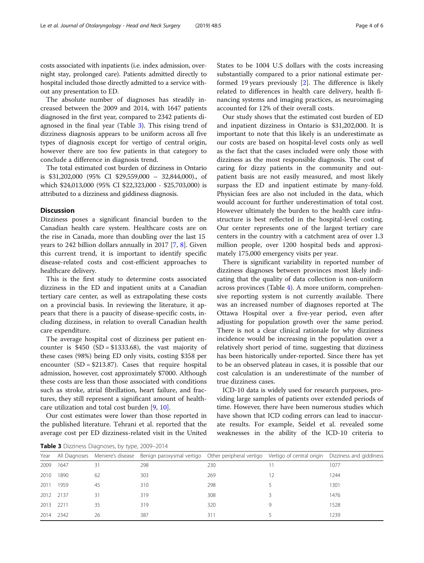costs associated with inpatients (i.e. index admission, overnight stay, prolonged care). Patients admitted directly to hospital included those directly admitted to a service without any presentation to ED.

The absolute number of diagnoses has steadily increased between the 2009 and 2014, with 1647 patients diagnosed in the first year, compared to 2342 patients diagnosed in the final year (Table 3). This rising trend of dizziness diagnosis appears to be uniform across all five types of diagnosis except for vertigo of central origin, however there are too few patients in that category to conclude a difference in diagnosis trend.

The total estimated cost burden of dizziness in Ontario is \$31,202,000 (95% CI \$29,559,000 – 32,844,000)., of which \$24,013,000 (95% CI \$22,323,000 - \$25,703,000) is attributed to a dizziness and giddiness diagnosis.

## **Discussion**

Dizziness poses a significant financial burden to the Canadian health care system. Healthcare costs are on the rise in Canada, more than doubling over the last 15 years to 242 billion dollars annually in 2017 [\[7,](#page-5-0) [8](#page-5-0)]. Given this current trend, it is important to identify specific disease-related costs and cost-efficient approaches to healthcare delivery.

This is the first study to determine costs associated dizziness in the ED and inpatient units at a Canadian tertiary care center, as well as extrapolating these costs on a provincial basis. In reviewing the literature, it appears that there is a paucity of disease-specific costs, including dizziness, in relation to overall Canadian health care expenditure.

The average hospital cost of dizziness per patient encounter is  $$450$  (SD = \$1333.68), the vast majority of these cases (98%) being ED only visits, costing \$358 per encounter (SD = \$213.87). Cases that require hospital admission, however, cost approximately \$7000. Although these costs are less than those associated with conditions such as stroke, atrial fibrillation, heart failure, and fractures, they still represent a significant amount of healthcare utilization and total cost burden [[9](#page-5-0), [10](#page-5-0)].

Our cost estimates were lower than those reported in the published literature. Tehrani et al. reported that the average cost per ED dizziness-related visit in the United States to be 1004 U.S dollars with the costs increasing substantially compared to a prior national estimate performed 19 years previously [\[2](#page-5-0)]. The difference is likely related to differences in health care delivery, health financing systems and imaging practices, as neuroimaging accounted for 12% of their overall costs.

Our study shows that the estimated cost burden of ED and inpatient dizziness in Ontario is \$31,202,000. It is important to note that this likely is an underestimate as our costs are based on hospital-level costs only as well as the fact that the cases included were only those with dizziness as the most responsible diagnosis. The cost of caring for dizzy patients in the community and outpatient basis are not easily measured, and most likely surpass the ED and inpatient estimate by many-fold. Physician fees are also not included in the data, which would account for further underestimation of total cost. However ultimately the burden to the health care infrastructure is best reflected in the hospital-level costing. Our center represents one of the largest tertiary care centers in the country with a catchment area of over 1.3 million people, over 1200 hospital beds and approximately 175,000 emergency visits per year.

There is significant variability in reported number of dizziness diagnoses between provinces most likely indicating that the quality of data collection is non-uniform across provinces (Table [4](#page-4-0)). A more uniform, comprehensive reporting system is not currently available. There was an increased number of diagnoses reported at The Ottawa Hospital over a five-year period, even after adjusting for population growth over the same period. There is not a clear clinical rationale for why dizziness incidence would be increasing in the population over a relatively short period of time, suggesting that dizziness has been historically under-reported. Since there has yet to be an observed plateau in cases, it is possible that our cost calculation is an underestimate of the number of true dizziness cases.

ICD-10 data is widely used for research purposes, providing large samples of patients over extended periods of time. However, there have been numerous studies which have shown that ICD coding errors can lead to inaccurate results. For example, Seidel et al. revealed some weaknesses in the ability of the ICD-10 criteria to

Table 3 Dizziness Diagnoses, by type, 2009-2014

| Year      |      |    | All Diagnoses Meniere's disease Benign paroxysmal vertigo Other peripheral vertigo Vertigo of central origin Dizziness and giddiness |     |   |      |
|-----------|------|----|--------------------------------------------------------------------------------------------------------------------------------------|-----|---|------|
| 2009      | 1647 | 31 | 298                                                                                                                                  | 230 |   | 1077 |
| 2010      | 1890 | 62 | 303                                                                                                                                  | 269 |   | 1244 |
| 2011      | 1959 | 45 | 310                                                                                                                                  | 298 |   | 1301 |
| 2012 2137 |      | 31 | 319                                                                                                                                  | 308 |   | 1476 |
| 2013 2211 |      | 35 | 319                                                                                                                                  | 320 | Q | 1528 |
| 2014 2342 |      | 26 | 387                                                                                                                                  | 311 |   | 1239 |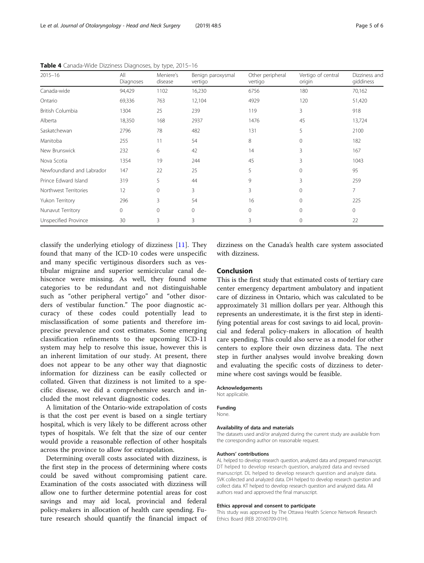| $2015 - 16$               | All<br>Diagnoses | Meniere's<br>disease | Benign paroxysmal<br>vertigo | Other peripheral<br>vertigo | Vertigo of central<br>origin | Dizziness and<br>giddiness |
|---------------------------|------------------|----------------------|------------------------------|-----------------------------|------------------------------|----------------------------|
| Canada-wide               | 94,429           | 1102                 | 16,230                       | 6756                        | 180                          | 70,162                     |
| Ontario                   | 69,336           | 763                  | 12,104                       | 4929                        | 120                          | 51,420                     |
| British Columbia          | 1304             | 25                   | 239                          | 119                         | 3                            | 918                        |
| Alberta                   | 18,350           | 168                  | 2937                         | 1476                        | 45                           | 13,724                     |
| Saskatchewan              | 2796             | 78                   | 482                          | 131                         | 5                            | 2100                       |
| Manitoba                  | 255              | 11                   | 54                           | 8                           | 0                            | 182                        |
| New Brunswick             | 232              | 6                    | 42                           | 14                          | 3                            | 167                        |
| Nova Scotia               | 1354             | 19                   | 244                          | 45                          | 3                            | 1043                       |
| Newfoundland and Labrador | 147              | 22                   | 25                           | 5                           | 0                            | 95                         |
| Prince Edward Island      | 319              | 5                    | 44                           | 9                           | 3                            | 259                        |
| Northwest Territories     | 12               | $\mathbf{0}$         | 3                            | 3                           | $\Omega$                     | $\overline{7}$             |
| Yukon Territory           | 296              | 3                    | 54                           | 16                          |                              | 225                        |
| Nunavut Territory         | $\mathbf{0}$     | $\mathbf{0}$         | $\Omega$                     | $\Omega$                    | 0                            | $\mathbf 0$                |
| Unspecified Province      | 30               | 3                    | 3                            | 3                           | $\Omega$                     | 22                         |

<span id="page-4-0"></span>Table 4 Canada-Wide Dizziness Diagnoses, by type, 2015-16

classify the underlying etiology of dizziness [[11](#page-5-0)]. They found that many of the ICD-10 codes were unspecific and many specific vertiginous disorders such as vestibular migraine and superior semicircular canal dehiscence were missing. As well, they found some categories to be redundant and not distinguishable such as "other peripheral vertigo" and "other disorders of vestibular function." The poor diagnostic accuracy of these codes could potentially lead to misclassification of some patients and therefore imprecise prevalence and cost estimates. Some emerging classification refinements to the upcoming ICD-11 system may help to resolve this issue, however this is an inherent limitation of our study. At present, there does not appear to be any other way that diagnostic information for dizziness can be easily collected or collated. Given that dizziness is not limited to a specific disease, we did a comprehensive search and included the most relevant diagnostic codes.

A limitation of the Ontario-wide extrapolation of costs is that the cost per event is based on a single tertiary hospital, which is very likely to be different across other types of hospitals. We felt that the size of our center would provide a reasonable reflection of other hospitals across the province to allow for extrapolation.

Determining overall costs associated with dizziness, is the first step in the process of determining where costs could be saved without compromising patient care. Examination of the costs associated with dizziness will allow one to further determine potential areas for cost savings and may aid local, provincial and federal policy-makers in allocation of health care spending. Future research should quantify the financial impact of

dizziness on the Canada's health care system associated with dizziness.

### Conclusion

This is the first study that estimated costs of tertiary care center emergency department ambulatory and inpatient care of dizziness in Ontario, which was calculated to be approximately 31 million dollars per year. Although this represents an underestimate, it is the first step in identifying potential areas for cost savings to aid local, provincial and federal policy-makers in allocation of health care spending. This could also serve as a model for other centers to explore their own dizziness data. The next step in further analyses would involve breaking down and evaluating the specific costs of dizziness to determine where cost savings would be feasible.

#### Acknowledgements

Not applicable.

## Funding

None.

#### Availability of data and materials

The datasets used and/or analyzed during the current study are available from the corresponding author on reasonable request.

#### Authors' contributions

AL helped to develop research question, analyzed data and prepared manuscript. DT helped to develop research question, analyzed data and revised manuscript. DL helped to develop research question and analyze data. SVK collected and analyzed data. DH helped to develop research question and collect data. KT helped to develop research question and analyzed data. All authors read and approved the final manuscript.

#### Ethics approval and consent to participate

This study was approved by The Ottawa Health Science Network Research Ethics Board (REB 20160709-01H).